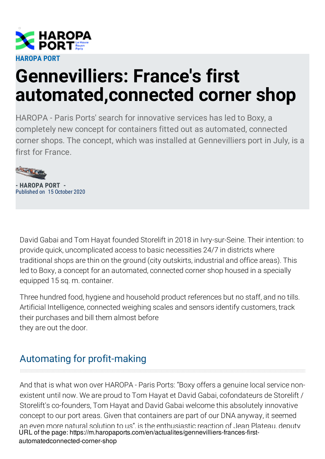

## **Gennevilliers: France's first automated,connected corner shop**

HAROPA - Paris Ports' search for innovative services has led to Boxy, a completely new concept for containers fitted out as automated, connected corner shops. The concept, which was installed at Gennevilliers port in July, is a first for France.



**- HAROPA PORT -** Published on 15 October 2020

David Gabai and Tom Hayat founded Storelift in 2018 in Ivry-sur-Seine. Their intention: to provide quick, uncomplicated access to basic necessities 24/7 in districts where traditional shops are thin on the ground (city outskirts, industrial and office areas). This led to Boxy, a concept for an automated, connected corner shop housed in a specially equipped 15 sq. m. container.

Three hundred food, hygiene and household product references but no staff, and no tills. Artificial Intelligence, connected weighing scales and sensors identify customers, track their purchases and bill them almost before they are out the door.

## Automating for profit-making

And that is what won over HAROPA - Paris Ports: "Boxy offers a genuine local service nonexistent until now. We are proud to Tom Hayat et David Gabai, cofondateurs de Storelift / Storelift's co-founders, Tom Hayat and David Gabai welcome this absolutely innovative concept to our port areas. Given that containers are part of our DNA anyway, it seemed an even more natural solution to us", is the enthusiastic reaction of Jean Plateau, deputy URL of the page: https://m.haropaports.com/en/actualites/gennevilliers-frances-firstautomatedconnected-corner-shop